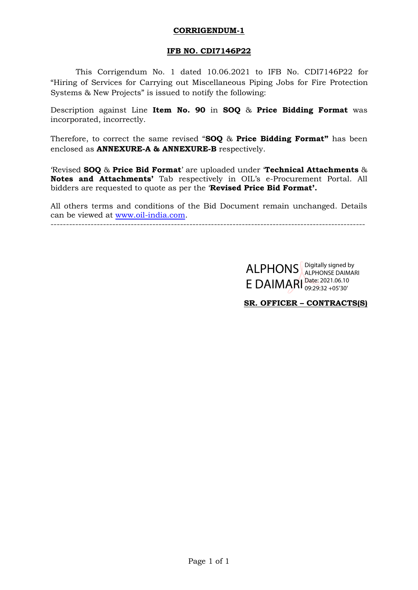# **CORRIGENDUM-1**

# **IFB NO. CDI7146P22**

This Corrigendum No. 1 dated 10.06.2021 to IFB No. CDI7146P22 for "Hiring of Services for Carrying out Miscellaneous Piping Jobs for Fire Protection Systems & New Projects" is issued to notify the following:

Description against Line **Item No. 90** in **SOQ** & **Price Bidding Format** was incorporated, incorrectly.

Therefore, to correct the same revised "**SOQ** & **Price Bidding Format"** has been enclosed as **ANNEXURE-A & ANNEXURE-B** respectively.

"Revised **SOQ** & **Price Bid Format**" are uploaded under "**Technical Attachments** & **Notes and Attachments'** Tab respectively in OIL"s e-Procurement Portal. All bidders are requested to quote as per the "**Revised Price Bid Format'.**

All others terms and conditions of the Bid Document remain unchanged. Details can be viewed at [www.oil-india.com.](http://www.oil-india.com/)

------------------------------------------------------------------------------------------------------

ALPHONS ALPHONSE DAIMAL E DAIMARI Date: 2021.06.10 ALPHONSE DAIMARI 09:29:32 +05'30'

**SR. OFFICER – CONTRACTS(S)**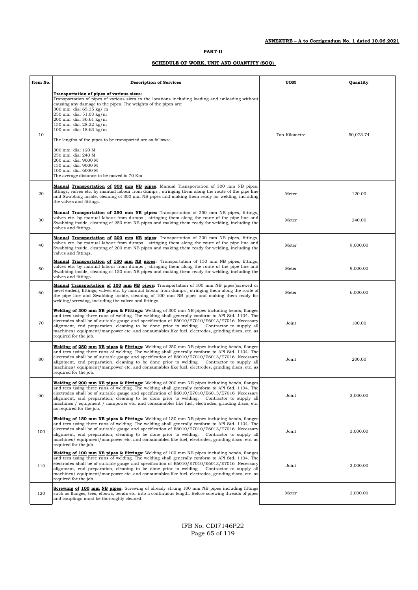| Item No. | <b>Description of Services</b>                                                                                                                                                                                                                                                                                                                                                                                                                                                                                                                                             | <b>UOM</b>    | Quantity  |
|----------|----------------------------------------------------------------------------------------------------------------------------------------------------------------------------------------------------------------------------------------------------------------------------------------------------------------------------------------------------------------------------------------------------------------------------------------------------------------------------------------------------------------------------------------------------------------------------|---------------|-----------|
| 10       | Transportation of pipes of various sizes:<br>Transportation of pipes of various sizes to the locations including loading and unloading without<br>causing any damage to the pipes. The weights of the pipes are:<br>300 mm dia: 65.35 kg/ m<br>250 mm dia: 51.03 kg/m<br>200 mm dia: 36.61 kg/m<br>150 mm dia: 28.22 kg/m<br>100 mm dia: 18.63 kg/m<br>The lengths of the pipes to be transported are as follows:<br>300 mm dia: 120 M<br>250 mm dia: 240 M<br>200 mm dia: 9000 M<br>150 mm dia: 9000 M<br>100 mm dia: 6000 M<br>The average distance to be moved is 70 Km | Ton-Kilometre | 50,073.74 |
| 20       | <b>Manual Transportation of 300 mm NB pipes:</b> Manual Transportation of 300 mm NB pipes,<br>fittings, valves etc. by manual labour from dumps, stringing them along the route of the pipe line<br>and Swabbing inside, cleaning of 300 mm NB pipes and making them ready for welding, including<br>the valves and fittings.                                                                                                                                                                                                                                              | Meter         | 120.00    |
| 30       | <b>Manual Transportation of 250 mm NB pipes:</b> Transportation of 250 mm NB pipes, fittings,<br>valves etc. by manual labour from dumps, stringing them along the route of the pipe line and<br>Swabbing inside, cleaning of 250 mm NB pipes and making them ready for welding, including the<br>valves and fittings.                                                                                                                                                                                                                                                     | Meter         | 240.00    |
| 40       | <b>Manual Transportation of 200 mm NB pipes:</b> Transportation of 200 mm NB pipes, fittings,<br>valves etc. by manual labour from dumps, stringing them along the route of the pipe line and<br>Swabbing inside, cleaning of 200 mm NB pipes and making them ready for welding, including the<br>valves and fittings.                                                                                                                                                                                                                                                     | Meter         | 9,000.00  |
| 50       | <b>Manual Transportation of 150 mm NB pipes:</b> Transportation of 150 mm NB pipes, fittings,<br>valves etc. by manual labour from dumps, stringing them along the route of the pipe line and<br>Swabbing inside, cleaning of 150 mm NB pipes and making them ready for welding, including the<br>valves and fittings.                                                                                                                                                                                                                                                     | Meter         | 9,000.00  |
| 60       | <b>Manual Transportation of 100 mm NB pipes:</b> Transportation of 100 mm NB pipes(screwed or<br>bevel ended), fittings, valves etc. by manual labour from dumps, stringing them along the route of<br>the pipe line and Swabbing inside, cleaning of 100 mm NB pipes and making them ready for<br>welding/screwing, including the valves and fittings.                                                                                                                                                                                                                    | Meter         | 6,000.00  |
| 70       | <b>Welding of 300 mm NB pipes &amp; Fittings:</b> Welding of 300 mm NB pipes including bends, flanges<br>and tees using three runs of welding. The welding shall generally conform to API Std. 1104. The<br>electrodes shall be of suitable gauge and specification of E6010/E7010/E6013/E7016 .Necessary<br>alignment, end preparation, cleaning to be done prior to welding. Contractor to supply all<br>machines/equipment/manpower etc. and consumables like fuel, electrodes, grinding discs, etc. as<br>required for the job.                                        | Joint         | 100.00    |
| 80       | Welding of 250 mm NB pipes & Fittings: Welding of 250 mm NB pipes including bends, flanges<br>and tees using three runs of welding. The welding shall generally conform to API Std. 1104. The<br>electrodes shall be of suitable gauge and specification of E6010/E7010/E6013/E7016 .Necessary<br>alignment, end preparation, cleaning to be done prior to welding.<br>Contractor to supply all<br>machines/equipment/manpower etc. and consumables like fuel, electrodes, grinding discs, etc. as<br>required for the job.                                                | Joint         | 200.00    |
| 90       | Welding of 200 mm NB pipes & Fittings: Welding of 200 mm NB pipes including bends, flanges<br>and tees using three runs of welding. The welding shall generally conform to API Std. 1104. The<br>electrodes shall be of suitable gauge and specification of E6010/E7010/E6013/E7016 .Necessary<br>alignment, end preparation, cleaning to be done prior to welding. Contractor to supply all<br>machines / equipment / manpower etc. and consumables like fuel, electrodes, grinding discs, etc.<br>as required for the job.                                               | Joint         | 3,000.00  |
| 100      | Welding of 150 mm NB pipes & Fittings: Welding of 150 mm NB pipes including bends, flanges<br>and tees using three runs of welding. The welding shall generally conform to API Std. 1104. The<br>electrodes shall be of suitable gauge and specification of E6010/E7010/E6013/E7016. Necessary<br>alignment, end preparation, cleaning to be done prior to welding.<br>Contractor to supply all<br>machines/equipment/manpower etc. and consumables like fuel, electrodes, grinding discs, etc. as<br>required for the job.                                                | Joint         | 3,000.00  |
| 110      | Welding of 100 mm NB pipes & Fittings: Welding of 100 mm NB pipes including bends, flanges<br>and tees using three runs of welding. The welding shall generally conform to API Std. 1104. The<br>electrodes shall be of suitable gauge and specification of E6010/E7010/E6013/E7016 .Necessary<br>alignment, end preparation, cleaning to be done prior to welding. Contractor to supply all<br>machines/equipment/manpower etc. and consumables like fuel, electrodes, grinding discs, etc. as<br>required for the job.                                                   | Joint         | 3,000.00  |
| 120      | <b>Screwing of 100 mm NB pipes:</b> Screwing of already strung 100 mm NB pipes including fittings<br>such as flanges, tees, elbows, bends etc. into a continuous length. Before screwing threads of pipes<br>and couplings must be thoroughly cleaned.                                                                                                                                                                                                                                                                                                                     | Meter         | 2,000.00  |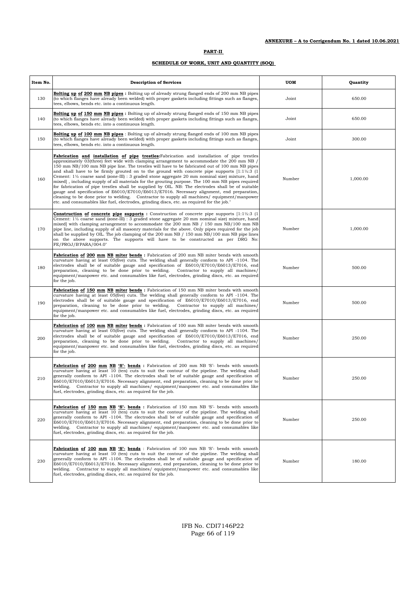### **SCHEDULE OF WORK, UNIT AND QUANTITY (SOQ)**

| Item No. | <b>Description of Services</b>                                                                                                                                                                                                                                                                                                                                                                                                                                                                                                                                                                                                                                                                                                                                                                                                                                                                                                                                                                                           | UOM    | Quantity |
|----------|--------------------------------------------------------------------------------------------------------------------------------------------------------------------------------------------------------------------------------------------------------------------------------------------------------------------------------------------------------------------------------------------------------------------------------------------------------------------------------------------------------------------------------------------------------------------------------------------------------------------------------------------------------------------------------------------------------------------------------------------------------------------------------------------------------------------------------------------------------------------------------------------------------------------------------------------------------------------------------------------------------------------------|--------|----------|
| 130      | <b>Bolting up of 200 mm NB pipes:</b> Bolting up of already strung flanged ends of 200 mm NB pipes<br>(to which flanges have already been welded) with proper gaskets including fittings such as flanges,<br>tees, elbows, bends etc. into a continuous length.                                                                                                                                                                                                                                                                                                                                                                                                                                                                                                                                                                                                                                                                                                                                                          | Joint  | 650.00   |
| 140      | <b>Bolting up of 150 mm NB pipes</b> : Bolting up of already strung flanged ends of 150 mm NB pipes<br>(to which flanges have already been welded) with proper gaskets including fittings such as flanges,<br>tees, elbows, bends etc. into a continuous length.                                                                                                                                                                                                                                                                                                                                                                                                                                                                                                                                                                                                                                                                                                                                                         | Joint  | 650.00   |
| 150      | <b>Bolting up of 100 mm NB pipes</b> : Bolting up of already strung flanged ends of 100 mm NB pipes<br>(to which flanges have already been welded) with proper gaskets including fittings such as flanges,<br>tees, elbows, bends etc. into a continuous length.                                                                                                                                                                                                                                                                                                                                                                                                                                                                                                                                                                                                                                                                                                                                                         | Joint  | 300.00   |
| 160      | Fabrication and installation of pipe trestles: Fabrication and installation of pipe trestles<br>approximately 03(three) feet wide with clamping arrangement to accommodate the 200 mm NB /<br>150 mm NB/100 mm NB pipe line. The trestles will have to be fabricated out of 100 mm NB pipes<br>and shall have to be firmly grouted on to the ground with concrete pipe supports $[1:1\frac{1}{2}:3]$ (1<br>Cement: $1\frac{1}{2}$ coarse sand (zone-III) : 3 graded stone aggregate 20 mm nominal size) mixture, hand<br>mixed], including supply of all materials for the grouting purpose. The 100 mm NB pipes required<br>for fabrication of pipe trestles shall be supplied by OIL. NB: The electrodes shall be of suitable<br>gauge and specification of E6010/E7010/E6013/E7016. Necessary alignment, end preparation,<br>cleaning to be done prior to welding. Contractor to supply all machines/equipment/manpower<br>etc. and consumables like fuel, electrodes, grinding discs, etc. as required for the job." | Number | 1,000.00 |
| 170      | <b>Construction of concrete pipe supports :</b> Construction of concrete pipe supports $[1:1\frac{1}{2}:3]$ (1<br>Cement: $1\frac{1}{2}$ coarse sand (zone-III) : 3 graded stone aggregate 20 mm nominal size) mixture, hand<br>mixed with clamping arrangement to accommodate the 200 mm NB / 150 mm NB/100 mm NB<br>pipe line, including supply of all masonry materials for the above. Only pipes required for the job<br>shall be supplied by OIL. The job clamping of the $200 \text{ mm}$ NB $/$ 150 mm NB $/100 \text{ mm}$ NB pipe lines<br>on the above supports. The supports will have to be constructed as per DRG No:<br>FE/PROJ/B'PARA/004.0"                                                                                                                                                                                                                                                                                                                                                              | Number | 1,000.00 |
| 180      | Fabrication of 200 mm NB miter bends : Fabrication of 200 mm NB miter bends with smooth<br>curvature having at least 05(five) cuts. The welding shall generally conform to API -1104. The<br>electrodes shall be of suitable gauge and specification of E6010/E7010/E6013/E7016, end<br>preparation, cleaning to be done prior to welding.<br>Contractor to supply all machines/<br>equipment/manpower etc. and consumables like fuel, electrodes, grinding discs, etc. as required<br>for the job.                                                                                                                                                                                                                                                                                                                                                                                                                                                                                                                      | Number | 500.00   |
| 190      | Fabrication of 150 mm NB miter bends : Fabrication of 150 mm NB miter bends with smooth<br>curvature having at least 05(five) cuts. The welding shall generally conform to API -1104. The<br>electrodes shall be of suitable gauge and specification of E6010/E7010/E6013/E7016, end<br>preparation, cleaning to be done prior to welding.<br>Contractor to supply all machines/<br>equipment/manpower etc. and consumables like fuel, electrodes, grinding discs, etc. as required<br>for the job.                                                                                                                                                                                                                                                                                                                                                                                                                                                                                                                      | Number | 500.00   |
| 200      | Fabrication of 100 mm NB miter bends : Fabrication of 100 mm NB miter bends with smooth<br>curvature having at least 05(five) cuts. The welding shall generally conform to API -1104. The<br>electrodes shall be of suitable gauge and specification of E6010/E7010/E6013/E7016, end<br>preparation, cleaning to be done prior to welding.<br>Contractor to supply all machines/<br>equipment/manpower etc. and consumables like fuel, electrodes, grinding discs, etc. as required<br>for the job.                                                                                                                                                                                                                                                                                                                                                                                                                                                                                                                      | Number | 250.00   |
| 210      | Fabrication of 200 mm NB 'S'- bends : Fabrication of 200 mm NB 'S'- bends with smooth<br>curvature having at least 10 (ten) cuts to suit the contour of the pipeline. The welding shall<br>generally conform to API -1104. The electrodes shall be of suitable gauge and specification of<br>E6010/E7010/E6013/E7016. Necessary alignment, end preparation, cleaning to be done prior to<br>welding. Contractor to supply all machines/ equipment/manpower etc. and consumables like<br>fuel, electrodes, grinding discs, etc. as required for the job.                                                                                                                                                                                                                                                                                                                                                                                                                                                                  | Number | 250.00   |
| 220      | Fabrication of 150 mm NB 'S'- bends : Fabrication of 150 mm NB 'S'- bends with smooth<br>curvature having at least 10 (ten) cuts to suit the contour of the pipeline. The welding shall<br>generally conform to API -1104. The electrodes shall be of suitable gauge and specification of<br>E6010/E7010/E6013/E7016. Necessary alignment, end preparation, cleaning to be done prior to<br>welding. Contractor to supply all machines/equipment/manpower etc. and consumables like<br>fuel, electrodes, grinding discs, etc. as required for the job.                                                                                                                                                                                                                                                                                                                                                                                                                                                                   | Number | 250.00   |
| 230      | Fabrication of 100 mm NB 'S'- bends : Fabrication of 100 mm NB 'S'- bends with smooth<br>curvature having at least 10 (ten) cuts to suit the contour of the pipeline. The welding shall<br>generally conform to API -1104. The electrodes shall be of suitable gauge and specification of<br>E6010/E7010/E6013/E7016. Necessary alignment, end preparation, cleaning to be done prior to<br>welding. Contractor to supply all machines/ equipment/manpower etc. and consumables like<br>fuel, electrodes, grinding discs, etc. as required for the job.                                                                                                                                                                                                                                                                                                                                                                                                                                                                  | Number | 180.00   |

IFB No. CDI7146P22 Page 66 of 119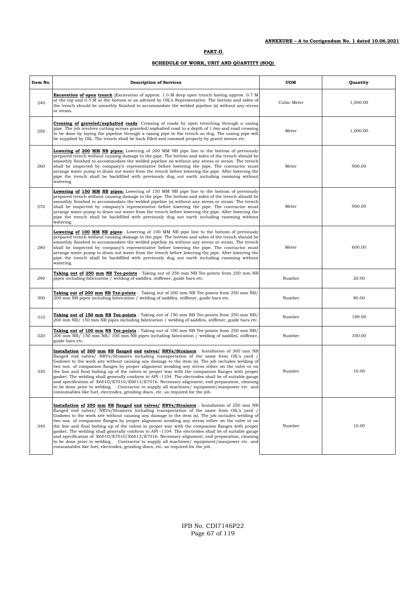| Item No. | <b>Description of Services</b>                                                                                                                                                                                                                                                                                                                                                                                                                                                                                                                                                                                                                                                                                                                                                                                                                                                           | <b>UOM</b>  | Quantity |
|----------|------------------------------------------------------------------------------------------------------------------------------------------------------------------------------------------------------------------------------------------------------------------------------------------------------------------------------------------------------------------------------------------------------------------------------------------------------------------------------------------------------------------------------------------------------------------------------------------------------------------------------------------------------------------------------------------------------------------------------------------------------------------------------------------------------------------------------------------------------------------------------------------|-------------|----------|
| 240      | <b>Excavation of open trench</b> : Excavation of approx. 1.0 M deep open trench having approx. 0.7 M<br>at the top and 0.5 M at the bottom or as advised by OIL's Representative. The bottom and sides of<br>the trench should be smoothly finished to accommodate the welded pipeline (s) without any stress<br>or strain.                                                                                                                                                                                                                                                                                                                                                                                                                                                                                                                                                              | Cubic Meter | 1,500.00 |
| 250      | <b>Crossing of graveled/asphalted roads:</b> Crossing of roads by open trenching through a casing<br>pipe. The job involves cutting across graveled/asphalted road to a depth of 1.6m and road crossing<br>to be done by laying the pipeline through a casing pipe in the trench so dug. The casing pipe will<br>be supplied by OIL. The trench shall be back filled and rammed properly by gravel stones etc.                                                                                                                                                                                                                                                                                                                                                                                                                                                                           | Meter       | 1,000.00 |
| 260      | <b>Lowering of 200 MM NB pipes:</b> Lowering of 200 MM NB pipe line to the bottom of previously<br>prepared trench without causing damage to the pipe. The bottom and sides of the trench should be<br>smoothly finished to accommodate the welded pipeline (s) without any stress or strain. The trench<br>shall be inspected by company's representative before lowering the pipe. The contractor must<br>arrange water pump to drain out water from the trench before lowering the pipe. After lowering the<br>pipe the trench shall be backfilled with previously dug out earth including ramming without<br>watering.                                                                                                                                                                                                                                                               | Meter       | 900.00   |
| 270      | <b>Lowering of 150 MM NB pipes:</b> Lowering of 150 MM NB pipe line to the bottom of previously<br>prepared trench without causing damage to the pipe. The bottom and sides of the trench should be<br>smoothly finished to accommodate the welded pipeline (s) without any stress or strain. The trench<br>shall be inspected by company's representative before lowering the pipe. The contractor must<br>arrange water pump to drain out water from the trench before lowering the pipe. After lowering the<br>pipe the trench shall be backfilled with previously dug out earth including ramming without<br>watering.                                                                                                                                                                                                                                                               | Meter       | 900.00   |
| 280      | <b>Lowering of 100 MM NB pipes:</b> Lowering of 100 MM NB pipe line to the bottom of previously<br>prepared trench without causing damage to the pipe. The bottom and sides of the trench should be<br>smoothly finished to accommodate the welded pipeline (s) without any stress or strain. The trench<br>shall be inspected by company's representative before lowering the pipe. The contractor must<br>arrange water pump to drain out water from the trench before lowering the pipe. After lowering the<br>pipe the trench shall be backfilled with previously dug out earth including ramming without<br>watering.                                                                                                                                                                                                                                                               | Meter       | 600.00   |
| 290      | Taking out of 250 mm NB Tee-points: Taking out of 250 mm NB Tee-points from 250 mm NB<br>pipes including fabrication / welding of saddles, stiffener, guide bars etc.                                                                                                                                                                                                                                                                                                                                                                                                                                                                                                                                                                                                                                                                                                                    | Number      | 20.00    |
| 300      | Taking out of 200 mm NB Tee-points: Taking out of 200 mm NB Tee-points from 250 mm NB/<br>200 mm NB pipes including fabrication / welding of saddles, stiffener, guide bars etc.                                                                                                                                                                                                                                                                                                                                                                                                                                                                                                                                                                                                                                                                                                         | Number      | 80.00    |
| 310      | Taking out of 150 mm NB Tee-points : Taking out of 150 mm NB Tee-points from 250 mm NB/<br>200 mm NB/ 150 mm NB pipes including fabrication / welding of saddles, stiffener, guide bars etc.                                                                                                                                                                                                                                                                                                                                                                                                                                                                                                                                                                                                                                                                                             | Number      | 180.00   |
| 320      | <b>Taking out of 100 mm NB Tee-points</b> : Taking out of 100 mm NB Tee-points from 250 mm NB/<br>200 mm NB/ 150 mm NB/ 100 mm NB pipes including fabrication / welding of saddles, stiffener,<br>guide bars etc.                                                                                                                                                                                                                                                                                                                                                                                                                                                                                                                                                                                                                                                                        | Number      | 350.00   |
| 330      | Installation of 300 mm NB flanged end valves/ NRVs/Strainers : Installation of 300 mm NB<br>flanged end valves/ NRVs/Strainers including transportation of the same from OIL's yard /<br>Godown to the work site without causing any damage to the item (s). The job includes welding of<br>two nos. of companion flanges by proper alignment avoiding any stress either on the valve or on<br>the line and final bolting up of the valves in proper way with the companion flanges with proper<br>gasket. The welding shall generally conform to API -1104. The electrodes shall be of suitable gauge<br>and specification of E6010/E7010/E6013/E7016. Necessary alignment, end preparation, cleaning<br>to be done prior to welding. Contractor to supply all machines/equipment/manpower etc. and<br>consumables like fuel, electrodes, grinding discs, etc. as required for the job. | Number      | 10.00    |
| 340      | Installation of 250 mm NB flanged end valves/ NRVs/Strainers : Installation of 250 mm NB<br>flanged end valves/ NRVs/Strainers including transportation of the same from OIL's yard /<br>Godown to the work site without causing any damage to the item (s). The job includes welding of<br>two nos. of companion flanges by proper alignment avoiding any stress either on the valve or on<br>the line and final bolting up of the valves in proper way with the companion flanges with proper<br>gasket. The welding shall generally conform to API -1104. The electrodes shall be of suitable gauge<br>and specification of E6010/E7010/E6013/E7016. Necessary alignment, end preparation, cleaning<br>to be done prior to welding. Contractor to supply all machines/equipment/manpower etc. and<br>consumables like fuel, electrodes, grinding discs, etc. as required for the job. | Number      | 10.00    |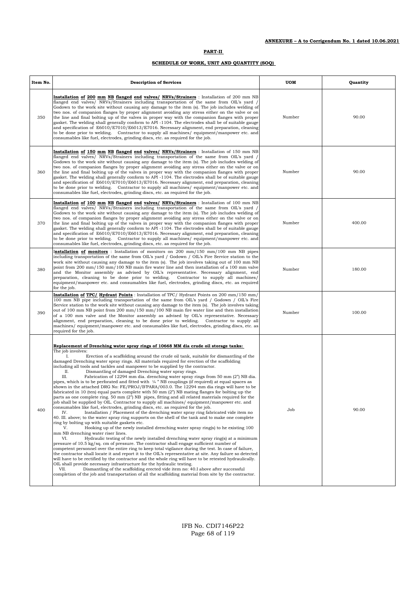# **SCHEDULE OF WORK, UNIT AND QUANTITY (SOQ)**

| Item No. | <b>Description of Services</b>                                                                                                                                                                                                                                                                                                                                                                                                                                                                                                                                                                                                                                                                                                                                                                                                                                                                                                                                                                                                                                                                                                                                                                                                                                                                                                                                                                                                                                                                                                                                                                                                                                                                                                                                                                                                                                                                                                                                                                                                                                                                                                                                                                                                                                                                                                                              | UOM    | Quantity |
|----------|-------------------------------------------------------------------------------------------------------------------------------------------------------------------------------------------------------------------------------------------------------------------------------------------------------------------------------------------------------------------------------------------------------------------------------------------------------------------------------------------------------------------------------------------------------------------------------------------------------------------------------------------------------------------------------------------------------------------------------------------------------------------------------------------------------------------------------------------------------------------------------------------------------------------------------------------------------------------------------------------------------------------------------------------------------------------------------------------------------------------------------------------------------------------------------------------------------------------------------------------------------------------------------------------------------------------------------------------------------------------------------------------------------------------------------------------------------------------------------------------------------------------------------------------------------------------------------------------------------------------------------------------------------------------------------------------------------------------------------------------------------------------------------------------------------------------------------------------------------------------------------------------------------------------------------------------------------------------------------------------------------------------------------------------------------------------------------------------------------------------------------------------------------------------------------------------------------------------------------------------------------------------------------------------------------------------------------------------------------------|--------|----------|
| 350      | Installation of 200 mm NB flanged end valves/ NRVs/Strainers : Installation of 200 mm NB<br>flanged end valves/ NRVs/Strainers including transportation of the same from OIL's yard /<br>Godown to the work site without causing any damage to the item (s). The job includes welding of<br>two nos. of companion flanges by proper alignment avoiding any stress either on the valve or on<br>the line and final bolting up of the valves in proper way with the companion flanges with proper<br>gasket. The welding shall generally conform to API -1104. The electrodes shall be of suitable gauge<br>and specification of E6010/E7010/E6013/E7016. Necessary alignment, end preparation, cleaning<br>to be done prior to welding. Contractor to supply all machines/ equipment/manpower etc. and<br>consumables like fuel, electrodes, grinding discs, etc. as required for the job.                                                                                                                                                                                                                                                                                                                                                                                                                                                                                                                                                                                                                                                                                                                                                                                                                                                                                                                                                                                                                                                                                                                                                                                                                                                                                                                                                                                                                                                                   | Number | 90.00    |
| 360      | Installation of 150 mm NB flanged end valves/ NRVs/Strainers : Installation of 150 mm NB<br>flanged end valves/ NRVs/Strainers including transportation of the same from OIL's yard /<br>Godown to the work site without causing any damage to the item (s). The job includes welding of<br>two nos. of companion flanges by proper alignment avoiding any stress either on the valve or on<br>the line and final bolting up of the valves in proper way with the companion flanges with proper<br>gasket. The welding shall generally conform to API -1104. The electrodes shall be of suitable gauge<br>and specification of E6010/E7010/E6013/E7016. Necessary alignment, end preparation, cleaning<br>to be done prior to welding. Contractor to supply all machines/ equipment/manpower etc. and<br>consumables like fuel, electrodes, grinding discs, etc. as required for the job.                                                                                                                                                                                                                                                                                                                                                                                                                                                                                                                                                                                                                                                                                                                                                                                                                                                                                                                                                                                                                                                                                                                                                                                                                                                                                                                                                                                                                                                                   | Number | 90.00    |
| 370      | Installation of 100 mm NB flanged end valves/ NRVs/Strainers : Installation of 100 mm NB<br>flanged end valves/ NRVs/Strainers including transportation of the same from OIL's yard /<br>Godown to the work site without causing any damage to the item (s). The job includes welding of<br>two nos. of companion flanges by proper alignment avoiding any stress either on the valve or on<br>the line and final bolting up of the valves in proper way with the companion flanges with proper<br>gasket. The welding shall generally conform to API -1104. The electrodes shall be of suitable gauge<br>and specification of E6010/E7010/E6013/E7016. Necessary alignment, end preparation, cleaning<br>to be done prior to welding. Contractor to supply all machines/equipment/manpower etc. and<br>consumables like fuel, electrodes, grinding discs, etc. as required for the job.                                                                                                                                                                                                                                                                                                                                                                                                                                                                                                                                                                                                                                                                                                                                                                                                                                                                                                                                                                                                                                                                                                                                                                                                                                                                                                                                                                                                                                                                    | Number | 400.00   |
| 380      | Installation of monitors: Installation of monitors on 200 mm/150 mm/100 mm NB pipes<br>including transportation of the same from OIL's yard / Godown / OIL's Fire Service station to the<br>work site without causing any damage to the item (s). The job involves taking out of 100 mm NB<br>point from 200 mm/150 mm/100 NB main fire water line and then installation of a 100 mm valve<br>and the Monitor assembly as advised by OIL's representative. Necessary alignment, end<br>preparation, cleaning to be done prior to welding.<br>Contractor to supply all machines/<br>equipment/manpower etc. and consumables like fuel, electrodes, grinding discs, etc. as required<br>for the job.                                                                                                                                                                                                                                                                                                                                                                                                                                                                                                                                                                                                                                                                                                                                                                                                                                                                                                                                                                                                                                                                                                                                                                                                                                                                                                                                                                                                                                                                                                                                                                                                                                                          | Number | 180.00   |
| 390      | <b>Installation of TPC/ Hydrant Points</b> : Installation of TPC/ Hydrant Points on 200 mm/150 mm/<br>100 mm NB pipe including transportation of the same from OIL's yard / Godown / OIL's Fire<br>Service station to the work site without causing any damage to the item (s). The job involves taking<br>out of 100 mm NB point from 200 mm/150 mm/100 NB main fire water line and then installation<br>of a 100 mm valve and the Monitor assembly as advised by OIL's representative. Necessary<br>alignment, end preparation, cleaning to be done prior to welding.<br>Contractor to supply all<br>machines/equipment/manpower etc. and consumables like fuel, electrodes, grinding discs, etc. as<br>required for the job.                                                                                                                                                                                                                                                                                                                                                                                                                                                                                                                                                                                                                                                                                                                                                                                                                                                                                                                                                                                                                                                                                                                                                                                                                                                                                                                                                                                                                                                                                                                                                                                                                             | Number | 100.00   |
| 400      | Replacement of Drenching water spray rings of 10668 MM dia crude oil storage tanks:<br>The job involves:<br>I.<br>Erection of a scaffolding around the crude oil tank, suitable for dismantling of the<br>damaged Drenching water spray rings. All materials required for erection of the scaffolding<br>including all tools and tackles and manpower to be supplied by the contractor.<br>Π.<br>Dismantling of damaged Drenching water spray rings.<br>Ш.<br>Fabrication of 12294 mm dia. drenching water spray rings from 50 mm (2") NB dia.<br>pipes, which is to be perforated and fitted with $\frac{1}{4}$ "NB couplings (if required) at equal spaces as<br>shown in the attached DRG No: FE/PROJ/B'PARA/003.0. The 12294 mm dia rings will have to be<br>fabricated in 10 (ten) equal parts complete with 50 mm $(2n)$ NB mating flanges for bolting up the<br>parts as one complete ring. 50 mm (2") NB pipes, fitting and all related materials required for the<br>job shall be supplied by OIL. Contractor to supply all machines/equipment/manpower etc. and<br>consumables like fuel, electrodes, grinding discs, etc. as required for the job.<br>Installation / Placement of the drenching water spray ring fabricated vide item no<br>IV.<br>40. III. above; to the water spray ring supports on the shell of the tank and to make one complete<br>ring by bolting up with suitable gaskets etc.<br>V.<br>Hooking up of the newly installed drenching water spray ring(s) to he existing 100<br>mm NB drenching water riser lines.<br>Hydraulic testing of the newly installed drenching water spray ring(s) at a minimum<br>VI.<br>pressure of 10.5 kg/sq. cm of pressure. The contractor shall engage sufficient number of<br>competent personnel over the entire ring to keep total vigilance during the test. In case of failure,<br>the contractor shall locate it and report it to the OIL's representative at site. Any failure so detected<br>will have to be rectified by the contractor and the whole ring will have to be retested hydraulically.<br>OIL shall provide necessary infrastructure for the hydraulic testing.<br>VII.<br>Dismantling of the scaffolding erected vide item no: 40.I above after successful<br>completion of the job and transportation of all the scaffolding material from site by the contractor. | Job    | 90.00    |

IFB No. CDI7146P22 Page 68 of 119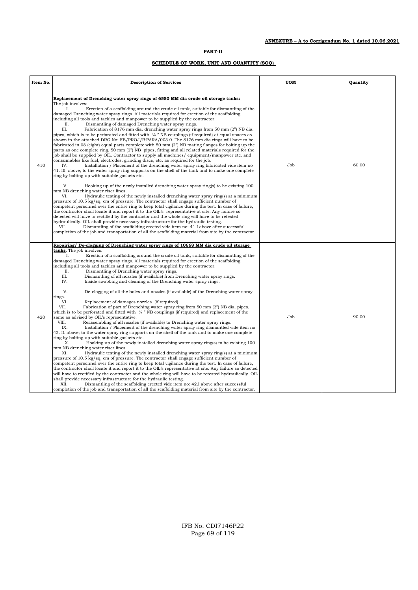| Item No. | <b>Description of Services</b>                                                                                                                                                                                                                                                                                                                                                                                                                                                                                                                                                                                                                                                                                                                                                                                                                                                                                                                                                                                                                                                                                                                                                                                                                                                                                                                                                                                                                                                                                                                                                                                                                                                                                                                                                                                                                                                                                                                                                                                                                                                                                                                                                                                                                                                                                                                         | <b>UOM</b> | Quantity |
|----------|--------------------------------------------------------------------------------------------------------------------------------------------------------------------------------------------------------------------------------------------------------------------------------------------------------------------------------------------------------------------------------------------------------------------------------------------------------------------------------------------------------------------------------------------------------------------------------------------------------------------------------------------------------------------------------------------------------------------------------------------------------------------------------------------------------------------------------------------------------------------------------------------------------------------------------------------------------------------------------------------------------------------------------------------------------------------------------------------------------------------------------------------------------------------------------------------------------------------------------------------------------------------------------------------------------------------------------------------------------------------------------------------------------------------------------------------------------------------------------------------------------------------------------------------------------------------------------------------------------------------------------------------------------------------------------------------------------------------------------------------------------------------------------------------------------------------------------------------------------------------------------------------------------------------------------------------------------------------------------------------------------------------------------------------------------------------------------------------------------------------------------------------------------------------------------------------------------------------------------------------------------------------------------------------------------------------------------------------------------|------------|----------|
| 410      | Replacement of Drenching water spray rings of 6550 MM dia crude oil storage tanks:<br>The job involves:<br>L<br>Erection of a scaffolding around the crude oil tank, suitable for dismantling of the<br>damaged Drenching water spray rings. All materials required for erection of the scaffolding<br>including all tools and tackles and manpower to be supplied by the contractor.<br>Dismantling of damaged Drenching water spray rings.<br>П.<br>III.<br>Fabrication of 8176 mm dia. drenching water spray rings from 50 mm (2") NB dia.<br>pipes, which is to be perforated and fitted with $\frac{1}{4}$ "NB couplings (if required) at equal spaces as<br>shown in the attached DRG No: FE/PROJ/B'PARA/003.0. The 8176 mm dia rings will have to be<br>fabricated in 08 (eight) equal parts complete with 50 mm (2") NB mating flanges for bolting up the<br>parts as one complete ring. 50 mm (2") NB pipes, fitting and all related materials required for the<br>job shall be supplied by OIL. Contractor to supply all machines/equipment/manpower etc. and<br>consumables like fuel, electrodes, grinding discs, etc. as required for the job.<br>Installation / Placement of the drenching water spray ring fabricated vide item no<br>IV.<br>41. III. above; to the water spray ring supports on the shell of the tank and to make one complete<br>ring by bolting up with suitable gaskets etc.<br>V.<br>Hooking up of the newly installed drenching water spray ring(s) to he existing 100<br>mm NB drenching water riser lines.<br>VI.<br>Hydraulic testing of the newly installed drenching water spray ring(s) at a minimum<br>pressure of 10.5 kg/sq. cm of pressure. The contractor shall engage sufficient number of<br>competent personnel over the entire ring to keep total vigilance during the test. In case of failure,<br>the contractor shall locate it and report it to the OIL's representative at site. Any failure so<br>detected will have to rectified by the contractor and the whole ring will have to be retested<br>hydraulically. OIL shall provide necessary infrastructure for the hydraulic testing.<br>Dismantling of the scaffolding erected vide item no: 41.I above after successful<br>VII.<br>completion of the job and transportation of all the scaffolding material from site by the contractor. | Job        | 60.00    |
| 420      | Repairing/ De-clogging of Drenching water spray rings of 10668 MM dia crude oil storage<br><b>tanks:</b> The job involves:<br>Erection of a scaffolding around the crude oil tank, suitable for dismantling of the<br>I.<br>damaged Drenching water spray rings. All materials required for erection of the scaffolding<br>including all tools and tackles and manpower to be supplied by the contractor.<br>Π.<br>Dismantling of Drenching water spray rings.<br>III.<br>Dismantling of all nozzles (if available) from Drenching water spray rings.<br>IV.<br>Inside swabbing and cleaning of the Drenching water spray rings.<br>V.<br>De-clogging of all the holes and nozzles (if available) of the Drenching water spray<br>rings.<br>VI.<br>Replacement of damages nozzles. (if required)<br>VII.<br>Fabrication of part of Drenching water spray ring from 50 mm (2") NB dia. pipes,<br>which is to be perforated and fitted with $\frac{1}{4}$ " NB couplings (if required) and replacement of the<br>same as advised by OIL's representative.<br>VIII.<br>Reassembling of all nozzles (if available) to Drenching water spray rings.<br>IX.<br>Installation / Placement of the drenching water spray ring dismantled vide item no<br>42. II. above; to the water spray ring supports on the shell of the tank and to make one complete<br>ring by bolting up with suitable gaskets etc.<br>X.<br>Hooking up of the newly installed drenching water spray ring(s) to he existing 100<br>mm NB drenching water riser lines.<br>XI.<br>Hydraulic testing of the newly installed drenching water spray ring(s) at a minimum<br>pressure of 10.5 kg/sq. cm of pressure. The contractor shall engage sufficient number of<br>competent personnel over the entire ring to keep total vigilance during the test. In case of failure,<br>the contractor shall locate it and report it to the OIL's representative at site. Any failure so detected<br>will have to rectified by the contractor and the whole ring will have to be retested hydraulically. OIL<br>shall provide necessary infrastructure for the hydraulic testing.<br>XII.<br>Dismantling of the scaffolding erected vide item no: 42.I above after successful<br>completion of the job and transportation of all the scaffolding material from site by the contractor.               | Job        | 90.00    |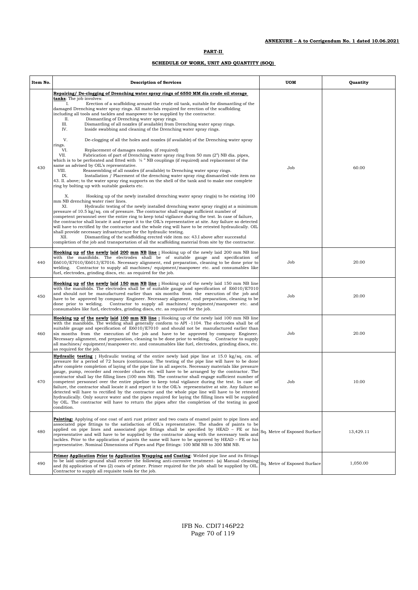| Item No. | <b>Description of Services</b>                                                                                                                                                                                                                                                                                                                                                                                                                                                                                                                                                                                                                                                                                                                                                                                                                                                                                                                                                                                                                                                  | UOM                          | <b>Quantity</b> |
|----------|---------------------------------------------------------------------------------------------------------------------------------------------------------------------------------------------------------------------------------------------------------------------------------------------------------------------------------------------------------------------------------------------------------------------------------------------------------------------------------------------------------------------------------------------------------------------------------------------------------------------------------------------------------------------------------------------------------------------------------------------------------------------------------------------------------------------------------------------------------------------------------------------------------------------------------------------------------------------------------------------------------------------------------------------------------------------------------|------------------------------|-----------------|
|          | Repairing/ De-clogging of Drenching water spray rings of 6550 MM dia crude oil storage<br>tanks: The job involves:<br>I.<br>Erection of a scaffolding around the crude oil tank, suitable for dismantling of the<br>damaged Drenching water spray rings. All materials required for erection of the scaffolding<br>including all tools and tackles and manpower to be supplied by the contractor.<br>П.<br>Dismantling of Drenching water spray rings.<br>III.<br>Dismantling of all nozzles (if available) from Drenching water spray rings.<br>IV.<br>Inside swabbing and cleaning of the Drenching water spray rings.                                                                                                                                                                                                                                                                                                                                                                                                                                                        |                              |                 |
| 430      | V.<br>De-clogging of all the holes and nozzles (if available) of the Drenching water spray<br>rings.<br>VI.<br>Replacement of damages nozzles. (if required)<br>Fabrication of part of Drenching water spray ring from 50 mm (2") NB dia, pipes,<br>VII.<br>which is to be perforated and fitted with $\frac{1}{4}$ " NB couplings (if required) and replacement of the<br>same as advised by OIL's representative.<br>VIII.<br>Reassembling of all nozzles (if available) to Drenching water spray rings.<br>IX.<br>Installation / Placement of the drenching water spray ring dismantled vide item no<br>43. II. above; to the water spray ring supports on the shell of the tank and to make one complete<br>ring by bolting up with suitable gaskets etc.                                                                                                                                                                                                                                                                                                                   | Job                          | 60.00           |
|          | Χ.<br>Hooking up of the newly installed drenching water spray ring(s) to he existing 100<br>mm NB drenching water riser lines.<br>XI.<br>Hydraulic testing of the newly installed drenching water spray ring(s) at a minimum<br>pressure of 10.5 kg/sq. cm of pressure. The contractor shall engage sufficient number of<br>competent personnel over the entire ring to keep total vigilance during the test. In case of failure,<br>the contractor shall locate it and report it to the OIL's representative at site. Any failure so detected<br>will have to rectified by the contractor and the whole ring will have to be retested hydraulically. OIL<br>shall provide necessary infrastructure for the hydraulic testing.<br>XII.<br>Dismantling of the scaffolding erected vide item no: 43.I above after successful<br>completion of the job and transportation of all the scaffolding material from site by the contractor.                                                                                                                                             |                              |                 |
| 440      | Hooking up of the newly laid 200 mm NB line : Hooking up of the newly laid 200 mm NB line<br>with the manifolds. The electrodes shall be of suitable gauge and specification of<br>E6010/E7010/E6013/E7016. Necessary alignment, end preparation, cleaning to be done prior to<br>welding. Contractor to supply all machines/ equipment/manpower etc. and consumables like<br>fuel, electrodes, grinding discs, etc. as required for the job.                                                                                                                                                                                                                                                                                                                                                                                                                                                                                                                                                                                                                                   | Job                          | 20.00           |
| 450      | Hooking up of the newly laid 150 mm NB line : Hooking up of the newly laid 150 mm NB line<br>with the manifolds. The electrodes shall be of suitable gauge and specification of E6010/E7010<br>and should not be manufactured earlier than six months from the execution of the job and<br>have to be approved by company Engineer. Necessary alignment, end preparation, cleaning to be<br>done prior to welding. Contractor to supply all machines/ equipment/manpower etc. and<br>consumables like fuel, electrodes, grinding discs, etc. as required for the job.                                                                                                                                                                                                                                                                                                                                                                                                                                                                                                           | Job                          | 20.00           |
| 460      | Hooking up of the newly laid 100 mm NB line : Hooking up of the newly laid 100 mm NB line<br>with the manifolds. The welding shall generally conform to API -1104. The electrodes shall be of<br>suitable gauge and specification of E6010/E7010 and should not be manufactured earlier than<br>six months from the execution of the job and have to be approved by company Engineer.<br>Necessary alignment, end preparation, cleaning to be done prior to welding. Contractor to supply<br>all machines/equipment/manpower etc. and consumables like fuel, electrodes, grinding discs, etc.<br>as required for the job.                                                                                                                                                                                                                                                                                                                                                                                                                                                       | Job                          | 20.00           |
| 470      | <b>Hydraulic testing:</b> Hydraulic testing of the entire newly laid pipe line at 15.0 kg/sq. cm. of<br>pressure for a period of 72 hours (continuous). The testing of the pipe line will have to be done<br>after complete completion of laying of the pipe line in all aspects. Necessary materials like pressure<br>gauge, pump, recorder and recorder charts etc. will have to be arranged by the contractor. The<br>contractor shall lay the filling lines (100 mm NB). The contractor shall engage sufficient number of<br>competent personnel over the entire pipeline to keep total vigilance during the test. In case of<br>failure, the contractor shall locate it and report it to the OIL's representative at site. Any failure so<br>detected will have to rectified by the contractor and the whole pipe line will have to be retested<br>hydraulically. Only source water and the pipes required for laying the filling lines will be supplied<br>by OIL. The contractor will have to return the pipes after the completion of the testing in good<br>condition. | Job                          | 10.00           |
| 480      | <b>Painting:</b> Applying of one coat of anti-rust primer and two coats of enamel paint to pipe lines and<br>associated pipe fittings to the satisfaction of OIL's representative. The shades of paints to be<br>applied on pipe lines and associated pipe fittings shall be specified by HEAD – FE or his<br>representative and will have to be supplied by the contractor along with the necessary tools and<br>tackles. Prior to the application of paints the same will have to be approved by $HEAD - FE$ or his<br>representative. Nominal Dimensions of Pipes and Pipe fittings: 100 MM NB to 300 MM NB.                                                                                                                                                                                                                                                                                                                                                                                                                                                                 | Sq. Metre of Exposed Surface | 13,429.11       |
| 490      | Primer Application Prior to Application Wrapping and Coating: Welded pipe line and its fittings<br>to be laid under-ground shall receive the following anti-corrosive treatment- (a) Manual cleaning<br>and (b) application of two (2) coats of primer. Primer required for the job shall be supplied by OIL.<br>Contractor to supply all requisite tools for the job.                                                                                                                                                                                                                                                                                                                                                                                                                                                                                                                                                                                                                                                                                                          | Sq. Metre of Exposed Surface | 1,050.00        |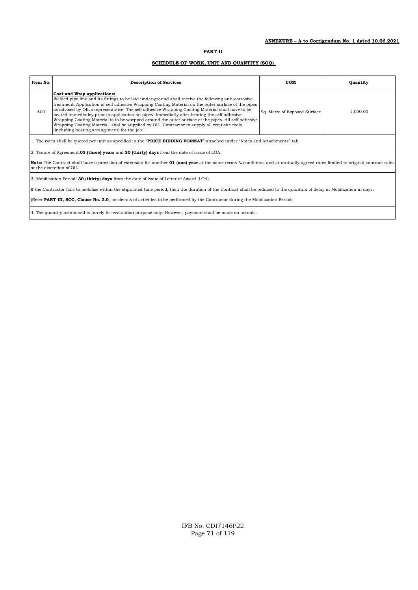| Item No. | <b>Description of Services</b>                                                                                                                                                                                                                                                                                                                                                                                                                                                                                                                                                                                                                                                                        | UOM                          | Quantity |
|----------|-------------------------------------------------------------------------------------------------------------------------------------------------------------------------------------------------------------------------------------------------------------------------------------------------------------------------------------------------------------------------------------------------------------------------------------------------------------------------------------------------------------------------------------------------------------------------------------------------------------------------------------------------------------------------------------------------------|------------------------------|----------|
| 500      | Coat and Wrap applications:<br>Welded pipe line and its fittings to be laid under-ground shall receive the following anti-corrosive<br>treatment: Application of self adhesive Wrapping Coating Material on the outer surface of the pipes<br>as advised by OIL's representative. The self adhesive Wrapping Coating Material shall have to be<br>heated immediative prior to application on pipes. Immediative after heating the self adhesive<br>Wrapping Coating Material is to be warpped around the outer surface of the pipes. All self adhesive<br>Wrapping Coating Material shal be supplied by OIL. Contractor to supply all requisite tools<br>(including heating arrangement) for the job. | Sq. Metre of Exposed Surface | 1,050.00 |
|          | 1. The rates shall be quoted per unit as specified in the "PRICE BIDDING FORMAT" attached under "Notes and Attachments" tab.                                                                                                                                                                                                                                                                                                                                                                                                                                                                                                                                                                          |                              |          |
|          | 2. Tenure of Agreement: 03 (three) years and 30 (thirty) days from the date of issue of LOA.                                                                                                                                                                                                                                                                                                                                                                                                                                                                                                                                                                                                          |                              |          |
|          | <b>Note:</b> The Contract shall have a provision of extension for another <b>01 (one) year</b> at the same terms & conditions and at mutually agreed rates limited to original contract rates<br>at the discretion of OIL.                                                                                                                                                                                                                                                                                                                                                                                                                                                                            |                              |          |
|          | 3. Mobilisation Period: <b>30 (thirty) days</b> from the date of issue of Letter of Award (LOA).                                                                                                                                                                                                                                                                                                                                                                                                                                                                                                                                                                                                      |                              |          |
|          | If the Contractor fails to mobilize within the stipulated time period, then the duration of the Contract shall be reduced to the quantum of delay in Mobilization in days.                                                                                                                                                                                                                                                                                                                                                                                                                                                                                                                            |                              |          |
|          | (Refer PART-III, SCC, Clause No. 2.0, for details of activities to be performed by the Contractor during the Mobilization Period)                                                                                                                                                                                                                                                                                                                                                                                                                                                                                                                                                                     |                              |          |
|          | 4. The quantity mentioned is purely for evaluation purpose only. However, payment shall be made on actuals.                                                                                                                                                                                                                                                                                                                                                                                                                                                                                                                                                                                           |                              |          |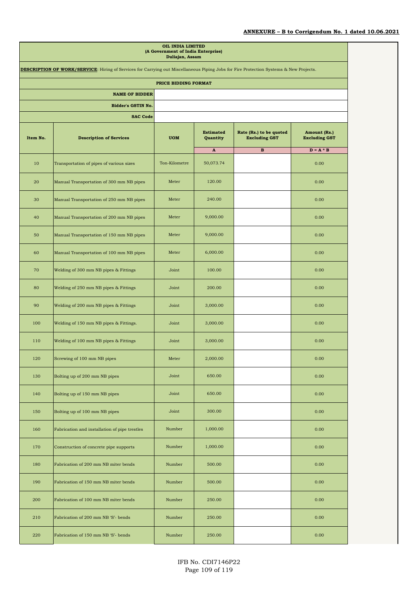## **ANNEXURE – B to Corrigendum No. 1 dated 10.06.2021**

|          |                                                                                                                                               | OIL INDIA LIMITED<br>(A Government of India Enterprise)<br>Duliajan, Assam |                              |                                                 |                                      |
|----------|-----------------------------------------------------------------------------------------------------------------------------------------------|----------------------------------------------------------------------------|------------------------------|-------------------------------------------------|--------------------------------------|
|          | <b>DESCRIPTION OF WORK/SERVICE:</b> Hiring of Services for Carrying out Miscellaneous Piping Jobs for Fire Protection Systems & New Projects. |                                                                            |                              |                                                 |                                      |
|          |                                                                                                                                               | PRICE BIDDING FORMAT                                                       |                              |                                                 |                                      |
|          | <b>NAME OF BIDDER</b>                                                                                                                         |                                                                            |                              |                                                 |                                      |
|          | <b>Bidder's GSTIN No.</b>                                                                                                                     |                                                                            |                              |                                                 |                                      |
|          | <b>SAC Code</b>                                                                                                                               |                                                                            |                              |                                                 |                                      |
| Item No. | <b>Description of Services</b>                                                                                                                | <b>UOM</b>                                                                 | <b>Estimated</b><br>Quantity | Rate (Rs.) to be quoted<br><b>Excluding GST</b> | Amount (Rs.)<br><b>Excluding GST</b> |
| 10       | Transportation of pipes of various sizes                                                                                                      | Ton-Kilometre                                                              | $\mathbf{A}$<br>50,073.74    | в                                               | $D = A * B$<br>0.00                  |
| 20       | Manual Transportation of 300 mm NB pipes                                                                                                      | Meter                                                                      | 120.00                       |                                                 | 0.00                                 |
| 30       | Manual Transportation of 250 mm NB pipes                                                                                                      | Meter                                                                      | 240.00                       |                                                 | 0.00                                 |
| 40       | Manual Transportation of 200 mm NB pipes                                                                                                      | Meter                                                                      | 9,000.00                     |                                                 | 0.00                                 |
| 50       | Manual Transportation of 150 mm NB pipes                                                                                                      | Meter                                                                      | 9,000.00                     |                                                 | 0.00                                 |
| 60       | Manual Transportation of 100 mm NB pipes                                                                                                      | Meter                                                                      | 6,000.00                     |                                                 | 0.00                                 |
| 70       | Welding of 300 mm NB pipes & Fittings                                                                                                         | Joint                                                                      | 100.00                       |                                                 | 0.00                                 |
| 80       | Welding of 250 mm NB pipes & Fittings                                                                                                         | Joint                                                                      | 200.00                       |                                                 | 0.00                                 |
| 90       | Welding of 200 mm NB pipes & Fittings                                                                                                         | Joint                                                                      | 3,000.00                     |                                                 | 0.00                                 |
| 100      | Welding of 150 mm NB pipes & Fittings.                                                                                                        | Joint                                                                      | 3,000.00                     |                                                 | 0.00                                 |
| 110      | Welding of 100 mm NB pipes & Fittings                                                                                                         | Joint                                                                      | 3,000.00                     |                                                 | 0.00                                 |
| 120      | Screwing of 100 mm NB pipes                                                                                                                   | Meter                                                                      | 2,000.00                     |                                                 | 0.00                                 |
| 130      | Bolting up of 200 mm NB pipes                                                                                                                 | Joint                                                                      | 650.00                       |                                                 | 0.00                                 |
| 140      | Bolting up of 150 mm NB pipes                                                                                                                 | Joint                                                                      | 650.00                       |                                                 | 0.00                                 |
| 150      | Bolting up of 100 mm NB pipes                                                                                                                 | Joint                                                                      | 300.00                       |                                                 | 0.00                                 |
| 160      | Fabrication and installation of pipe trestles                                                                                                 | Number                                                                     | 1,000.00                     |                                                 | 0.00                                 |
| 170      | Construction of concrete pipe supports                                                                                                        | Number                                                                     | 1,000.00                     |                                                 | 0.00                                 |
| 180      | Fabrication of 200 mm NB miter bends                                                                                                          | Number                                                                     | 500.00                       |                                                 | 0.00                                 |
| 190      | Fabrication of 150 mm NB miter bends                                                                                                          | Number                                                                     | 500.00                       |                                                 | 0.00                                 |
| 200      | Fabrication of 100 mm NB miter bends                                                                                                          | Number                                                                     | 250.00                       |                                                 | 0.00                                 |
| 210      | Fabrication of 200 mm NB 'S'- bends                                                                                                           | Number                                                                     | 250.00                       |                                                 | 0.00                                 |
| 220      | Fabrication of 150 mm NB 'S'- bends                                                                                                           | Number                                                                     | 250.00                       |                                                 | 0.00                                 |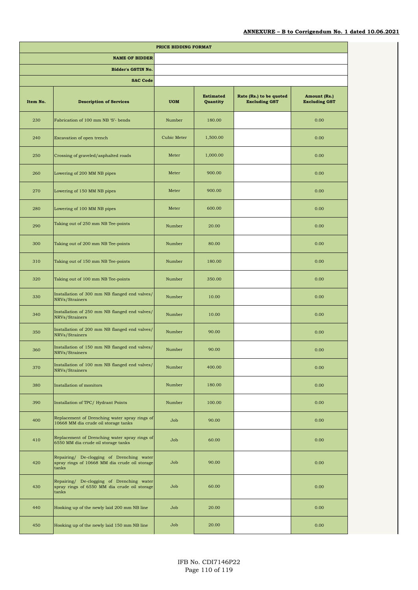|          |                                                                                                     | PRICE BIDDING FORMAT |                              |                                                 |                                      |
|----------|-----------------------------------------------------------------------------------------------------|----------------------|------------------------------|-------------------------------------------------|--------------------------------------|
|          | <b>NAME OF BIDDER</b>                                                                               |                      |                              |                                                 |                                      |
|          | <b>Bidder's GSTIN No.</b>                                                                           |                      |                              |                                                 |                                      |
|          | <b>SAC Code</b>                                                                                     |                      |                              |                                                 |                                      |
| Item No. | <b>Description of Services</b>                                                                      | <b>UOM</b>           | <b>Estimated</b><br>Quantity | Rate (Rs.) to be quoted<br><b>Excluding GST</b> | Amount (Rs.)<br><b>Excluding GST</b> |
| 230      | Fabrication of 100 mm NB 'S'- bends                                                                 | Number               | 180.00                       |                                                 | 0.00                                 |
| 240      | Excavation of open trench                                                                           | Cubic Meter          | 1,500.00                     |                                                 | 0.00                                 |
| 250      | Crossing of graveled/asphalted roads                                                                | Meter                | 1,000.00                     |                                                 | 0.00                                 |
| 260      | Lowering of 200 MM NB pipes                                                                         | Meter                | 900.00                       |                                                 | 0.00                                 |
| 270      | Lowering of 150 MM NB pipes                                                                         | Meter                | 900.00                       |                                                 | 0.00                                 |
| 280      | Lowering of 100 MM NB pipes                                                                         | Meter                | 600.00                       |                                                 | 0.00                                 |
| 290      | Taking out of 250 mm NB Tee-points                                                                  | Number               | 20.00                        |                                                 | 0.00                                 |
| 300      | Taking out of 200 mm NB Tee-points                                                                  | Number               | 80.00                        |                                                 | 0.00                                 |
| 310      | Taking out of 150 mm NB Tee-points                                                                  | Number               | 180.00                       |                                                 | 0.00                                 |
| 320      | Taking out of 100 mm NB Tee-points                                                                  | Number               | 350.00                       |                                                 | 0.00                                 |
| 330      | Installation of 300 mm NB flanged end valves/<br>NRVs/Strainers                                     | Number               | 10.00                        |                                                 | 0.00                                 |
| 340      | Installation of 250 mm NB flanged end valves/<br>NRVs/Strainers                                     | Number               | 10.00                        |                                                 | 0.00                                 |
| 350      | Installation of 200 mm NB flanged end valves/<br>NRVs/Strainers                                     | Number               | 90.00                        |                                                 | 0.00                                 |
| 360      | Installation of 150 mm NB flanged end valves/<br>NRVs/Strainers                                     | Number               | 90.00                        |                                                 | 0.00                                 |
| 370      | Installation of 100 mm NB flanged end valves/<br>NRVs/Strainers                                     | Number               | 400.00                       |                                                 | 0.00                                 |
| 380      | Installation of monitors                                                                            | Number               | 180.00                       |                                                 | 0.00                                 |
| 390      | Installation of TPC/Hydrant Points                                                                  | Number               | 100.00                       |                                                 | 0.00                                 |
| 400      | Replacement of Drenching water spray rings of<br>10668 MM dia crude oil storage tanks               | Job                  | 90.00                        |                                                 | 0.00                                 |
| 410      | Replacement of Drenching water spray rings of<br>6550 MM dia crude oil storage tanks                | Job                  | 60.00                        |                                                 | 0.00                                 |
| 420      | Repairing/ De-clogging of Drenching water<br>spray rings of 10668 MM dia crude oil storage<br>tanks | Job                  | 90.00                        |                                                 | 0.00                                 |
| 430      | Repairing/ De-clogging of Drenching water<br>spray rings of 6550 MM dia crude oil storage<br>tanks  | Job                  | 60.00                        |                                                 | 0.00                                 |
| 440      | Hooking up of the newly laid 200 mm NB line                                                         | Job                  | 20.00                        |                                                 | 0.00                                 |
| 450      | Hooking up of the newly laid 150 mm NB line                                                         | Job                  | 20.00                        |                                                 | 0.00                                 |
|          |                                                                                                     |                      |                              |                                                 |                                      |